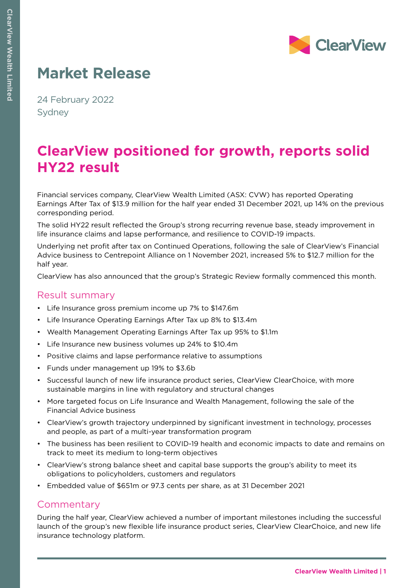

# **Market Release**

24 February 2022 Sydney

## **ClearView positioned for growth, reports solid HY22 result**

Financial services company, ClearView Wealth Limited (ASX: CVW) has reported Operating Earnings After Tax of \$13.9 million for the half year ended 31 December 2021, up 14% on the previous corresponding period.

The solid HY22 result reflected the Group's strong recurring revenue base, steady improvement in life insurance claims and lapse performance, and resilience to COVID-19 impacts.

Underlying net profit after tax on Continued Operations, following the sale of ClearView's Financial Advice business to Centrepoint Alliance on 1 November 2021, increased 5% to \$12.7 million for the half year.

ClearView has also announced that the group's Strategic Review formally commenced this month.

## Result summary

- Life Insurance gross premium income up 7% to \$147.6m
- Life Insurance Operating Earnings After Tax up 8% to \$13.4m
- Wealth Management Operating Earnings After Tax up 95% to \$1.1m
- Life Insurance new business volumes up 24% to \$10.4m
- Positive claims and lapse performance relative to assumptions
- Funds under management up 19% to \$3.6b
- Successful launch of new life insurance product series, ClearView ClearChoice, with more sustainable margins in line with regulatory and structural changes
- More targeted focus on Life Insurance and Wealth Management, following the sale of the Financial Advice business
- ClearView's growth trajectory underpinned by significant investment in technology, processes and people, as part of a multi-year transformation program
- The business has been resilient to COVID-19 health and economic impacts to date and remains on track to meet its medium to long-term objectives
- ClearView's strong balance sheet and capital base supports the group's ability to meet its obligations to policyholders, customers and regulators
- Embedded value of \$651m or 97.3 cents per share, as at 31 December 2021

### **Commentary**

During the half year, ClearView achieved a number of important milestones including the successful launch of the group's new flexible life insurance product series, ClearView ClearChoice, and new life insurance technology platform.